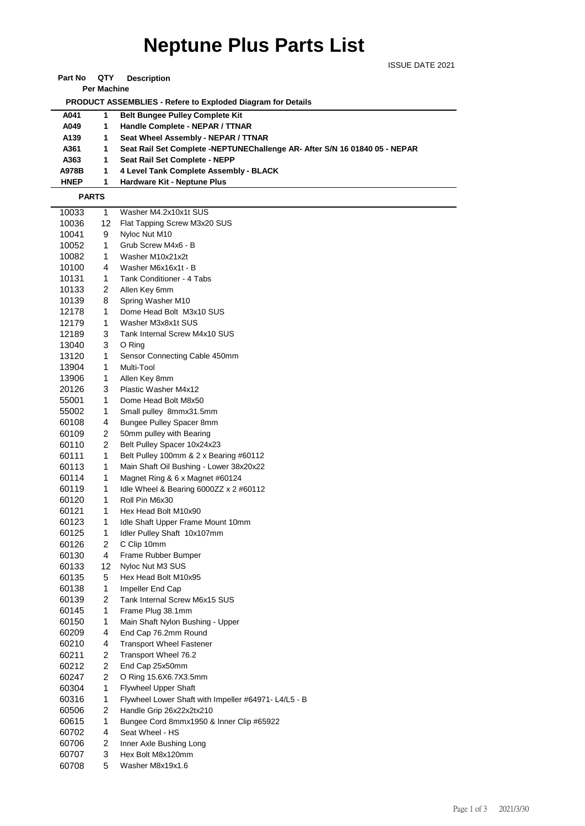## **Neptune Plus Parts List**

ISSUE DATE 2021

**Part No QTY Description** 

**Per Machine**

 **PRODUCT ASSEMBLIES - Refere to Exploded Diagram for Details** 

| A041        |    | <b>Belt Bungee Pulley Complete Kit</b>                                     |
|-------------|----|----------------------------------------------------------------------------|
| A049        |    | Handle Complete - NEPAR / TTNAR                                            |
| A139        | 1. | Seat Wheel Assembly - NEPAR / TTNAR                                        |
| A361        |    | Seat Rail Set Complete -NEPTUNEChallenge AR- After S/N 16 01840 05 - NEPAR |
| A363        | 1. | Seat Rail Set Complete - NEPP                                              |
| A978B       | 1. | 4 Level Tank Complete Assembly - BLACK                                     |
| <b>HNEP</b> |    | <b>Hardware Kit - Neptune Plus</b>                                         |

 **PARTS**

| 10033 | 1                       | Washer M4.2x10x1t SUS                                |
|-------|-------------------------|------------------------------------------------------|
| 10036 | 12                      | Flat Tapping Screw M3x20 SUS                         |
| 10041 | 9                       | Nyloc Nut M10                                        |
| 10052 | 1                       | Grub Screw M4x6 - B                                  |
| 10082 | 1                       | Washer M10x21x2t                                     |
| 10100 | 4                       | Washer M6x16x1t - B                                  |
| 10131 | 1                       | Tank Conditioner - 4 Tabs                            |
| 10133 | 2                       | Allen Key 6mm                                        |
| 10139 | 8                       | Spring Washer M10                                    |
| 12178 | 1                       | Dome Head Bolt M3x10 SUS                             |
| 12179 | 1                       | Washer M3x8x1t SUS                                   |
| 12189 | 3                       | Tank Internal Screw M4x10 SUS                        |
| 13040 | 3                       | O Ring                                               |
| 13120 | 1                       | Sensor Connecting Cable 450mm                        |
| 13904 | 1                       | Multi-Tool                                           |
| 13906 | 1                       | Allen Key 8mm                                        |
| 20126 | 3                       | Plastic Washer M4x12                                 |
| 55001 | 1                       | Dome Head Bolt M8x50                                 |
| 55002 | 1                       | Small pulley 8mmx31.5mm                              |
| 60108 | 4                       | Bungee Pulley Spacer 8mm                             |
| 60109 | 2                       | 50mm pulley with Bearing                             |
| 60110 | 2                       | Belt Pulley Spacer 10x24x23                          |
| 60111 | 1                       | Belt Pulley 100mm & 2 x Bearing #60112               |
| 60113 | 1                       | Main Shaft Oil Bushing - Lower 38x20x22              |
| 60114 | 1                       | Magnet Ring & 6 x Magnet #60124                      |
| 60119 | 1                       | Idle Wheel & Bearing 6000ZZ $\times$ 2 #60112        |
| 60120 | 1                       | Roll Pin M6x30                                       |
| 60121 | 1                       | Hex Head Bolt M10x90                                 |
| 60123 | 1                       | Idle Shaft Upper Frame Mount 10mm                    |
| 60125 | 1                       | Idler Pulley Shaft 10x107mm                          |
| 60126 | 2                       | C Clip 10mm                                          |
| 60130 | 4                       | Frame Rubber Bumper                                  |
| 60133 | 12                      | Nyloc Nut M3 SUS                                     |
| 60135 | 5                       | Hex Head Bolt M10x95                                 |
| 60138 | 1                       | Impeller End Cap                                     |
| 60139 | 2                       | Tank Internal Screw M6x15 SUS                        |
| 60145 | $\mathbf{1}$            | Frame Plug 38.1mm                                    |
| 60150 | 1                       | Main Shaft Nylon Bushing - Upper                     |
| 60209 | 4                       | End Cap 76.2mm Round                                 |
| 60210 | 4                       | <b>Transport Wheel Fastener</b>                      |
| 60211 | 2                       | Transport Wheel 76.2                                 |
| 60212 | 2                       | End Cap 25x50mm                                      |
| 60247 | 2                       | O Ring 15.6X6.7X3.5mm                                |
| 60304 | 1                       | <b>Flywheel Upper Shaft</b>                          |
| 60316 | $\mathbf{1}$            | Flywheel Lower Shaft with Impeller #64971- L4/L5 - B |
| 60506 | $\overline{\mathbf{c}}$ | Handle Grip 26x22x2tx210                             |
| 60615 | 1                       | Bungee Cord 8mmx1950 & Inner Clip #65922             |
| 60702 | 4                       | Seat Wheel - HS                                      |
| 60706 | 2                       | Inner Axle Bushing Long                              |
| 60707 | 3                       | Hex Bolt M8x120mm                                    |
| 60708 | 5                       | Washer M8x19x1.6                                     |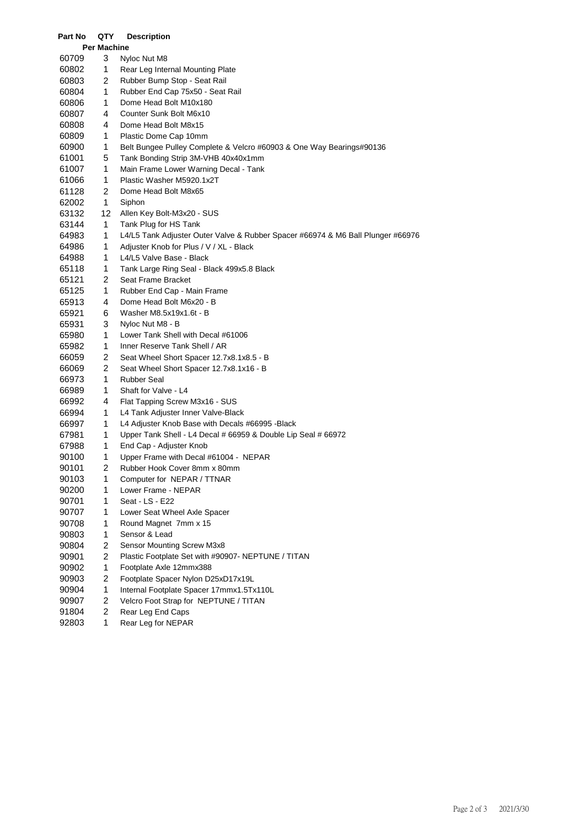| Part No            | QTY                     | <b>Description</b>                                                              |  |  |  |  |
|--------------------|-------------------------|---------------------------------------------------------------------------------|--|--|--|--|
| <b>Per Machine</b> |                         |                                                                                 |  |  |  |  |
| 60709              | 3                       | Nyloc Nut M8                                                                    |  |  |  |  |
| 60802              | 1                       | Rear Leg Internal Mounting Plate                                                |  |  |  |  |
| 60803              | 2                       | Rubber Bump Stop - Seat Rail                                                    |  |  |  |  |
| 60804              | 1                       | Rubber End Cap 75x50 - Seat Rail                                                |  |  |  |  |
| 60806              | 1                       | Dome Head Bolt M10x180                                                          |  |  |  |  |
| 60807              | 4                       | Counter Sunk Bolt M6x10                                                         |  |  |  |  |
| 60808              | 4                       | Dome Head Bolt M8x15                                                            |  |  |  |  |
| 60809              | 1                       | Plastic Dome Cap 10mm                                                           |  |  |  |  |
| 60900              | 1                       | Belt Bungee Pulley Complete & Velcro #60903 & One Way Bearings#90136            |  |  |  |  |
| 61001              | 5                       | Tank Bonding Strip 3M-VHB 40x40x1mm                                             |  |  |  |  |
| 61007              | 1                       | Main Frame Lower Warning Decal - Tank                                           |  |  |  |  |
| 61066              | 1                       | Plastic Washer M5920.1x2T                                                       |  |  |  |  |
| 61128              | 2                       | Dome Head Bolt M8x65                                                            |  |  |  |  |
| 62002              | 1                       | Siphon                                                                          |  |  |  |  |
| 63132              | 12                      | Allen Key Bolt-M3x20 - SUS                                                      |  |  |  |  |
| 63144              | 1                       | Tank Plug for HS Tank                                                           |  |  |  |  |
| 64983              | 1                       | L4/L5 Tank Adjuster Outer Valve & Rubber Spacer #66974 & M6 Ball Plunger #66976 |  |  |  |  |
| 64986              | 1                       | Adjuster Knob for Plus / V / XL - Black                                         |  |  |  |  |
| 64988              | 1                       | L4/L5 Valve Base - Black                                                        |  |  |  |  |
| 65118              | 1                       | Tank Large Ring Seal - Black 499x5.8 Black                                      |  |  |  |  |
| 65121              | $\overline{2}$          | Seat Frame Bracket                                                              |  |  |  |  |
| 65125              | 1                       | Rubber End Cap - Main Frame                                                     |  |  |  |  |
| 65913              | 4                       | Dome Head Bolt M6x20 - B                                                        |  |  |  |  |
| 65921              | 6                       | Washer M8.5x19x1.6t - B                                                         |  |  |  |  |
| 65931              | 3                       | Nyloc Nut M8 - B                                                                |  |  |  |  |
| 65980              | 1                       | Lower Tank Shell with Decal #61006                                              |  |  |  |  |
| 65982              | 1                       | Inner Reserve Tank Shell / AR                                                   |  |  |  |  |
| 66059              | 2                       | Seat Wheel Short Spacer 12.7x8.1x8.5 - B                                        |  |  |  |  |
| 66069              | 2                       | Seat Wheel Short Spacer 12.7x8.1x16 - B                                         |  |  |  |  |
| 66973              | 1                       | <b>Rubber Seal</b>                                                              |  |  |  |  |
| 66989              | 1                       | Shaft for Valve - L4                                                            |  |  |  |  |
| 66992              | 4                       | Flat Tapping Screw M3x16 - SUS                                                  |  |  |  |  |
| 66994              | 1                       | L4 Tank Adjuster Inner Valve-Black                                              |  |  |  |  |
| 66997              | 1                       | L4 Adjuster Knob Base with Decals #66995 - Black                                |  |  |  |  |
| 67981              | 1                       | Upper Tank Shell - L4 Decal # 66959 & Double Lip Seal # 66972                   |  |  |  |  |
| 67988              | 1                       | End Cap - Adjuster Knob                                                         |  |  |  |  |
| 90100              | 1                       | Upper Frame with Decal #61004 - NEPAR                                           |  |  |  |  |
| 90101              | 2                       | Rubber Hook Cover 8mm x 80mm                                                    |  |  |  |  |
| 90103              | 1                       | Computer for NEPAR / TTNAR                                                      |  |  |  |  |
| 90200              | 1                       | Lower Frame - NEPAR                                                             |  |  |  |  |
| 90701              | 1                       | Seat - LS - E22                                                                 |  |  |  |  |
| 90707              | 1                       | Lower Seat Wheel Axle Spacer                                                    |  |  |  |  |
| 90708              | 1                       | Round Magnet 7mm x 15                                                           |  |  |  |  |
| 90803              | 1                       | Sensor & Lead                                                                   |  |  |  |  |
| 90804              | $\overline{\mathbf{c}}$ | Sensor Mounting Screw M3x8                                                      |  |  |  |  |
| 90901              | $\overline{\mathbf{c}}$ | Plastic Footplate Set with #90907- NEPTUNE / TITAN                              |  |  |  |  |
| 90902              | 1                       | Footplate Axle 12mmx388                                                         |  |  |  |  |
| 90903              | 2                       | Footplate Spacer Nylon D25xD17x19L                                              |  |  |  |  |
| 90904              | 1                       | Internal Footplate Spacer 17mmx1.5Tx110L                                        |  |  |  |  |
| 90907              | 2                       | Velcro Foot Strap for NEPTUNE / TITAN                                           |  |  |  |  |
| 91804              | $\overline{c}$          | Rear Leg End Caps                                                               |  |  |  |  |
| 92803              | 1                       | Rear Leg for NEPAR                                                              |  |  |  |  |